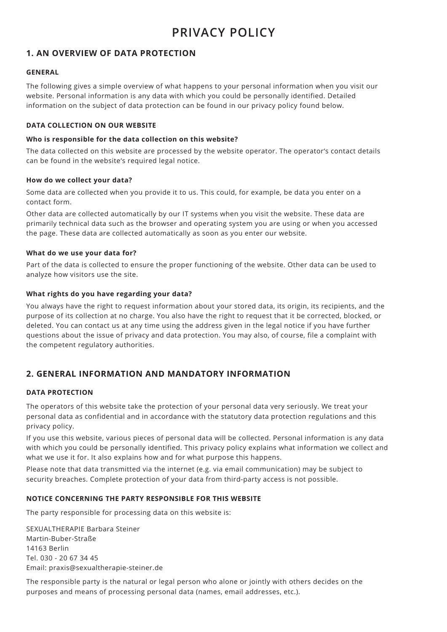# **1. AN OVERVIEW OF DATA PROTECTION**

## **GENERAL**

The following gives a simple overview of what happens to your personal information when you visit our website. Personal information is any data with which you could be personally identified. Detailed information on the subject of data protection can be found in our privacy policy found below.

#### **DATA COLLECTION ON OUR WEBSITE**

#### **Who is responsible for the data collection on this website?**

The data collected on this website are processed by the website operator. The operator's contact details can be found in the website's required legal notice.

#### **How do we collect your data?**

Some data are collected when you provide it to us. This could, for example, be data you enter on a contact form.

Other data are collected automatically by our IT systems when you visit the website. These data are primarily technical data such as the browser and operating system you are using or when you accessed the page. These data are collected automatically as soon as you enter our website.

#### **What do we use your data for?**

Part of the data is collected to ensure the proper functioning of the website. Other data can be used to analyze how visitors use the site.

## **What rights do you have regarding your data?**

You always have the right to request information about your stored data, its origin, its recipients, and the purpose of its collection at no charge. You also have the right to request that it be corrected, blocked, or deleted. You can contact us at any time using the address given in the legal notice if you have further questions about the issue of privacy and data protection. You may also, of course, file a complaint with the competent regulatory authorities.

# **2. GENERAL INFORMATION AND MANDATORY INFORMATION**

#### **DATA PROTECTION**

The operators of this website take the protection of your personal data very seriously. We treat your personal data as confidential and in accordance with the statutory data protection regulations and this privacy policy.

If you use this website, various pieces of personal data will be collected. Personal information is any data with which you could be personally identified. This privacy policy explains what information we collect and what we use it for. It also explains how and for what purpose this happens.

Please note that data transmitted via the internet (e.g. via email communication) may be subject to security breaches. Complete protection of your data from third-party access is not possible.

#### **NOTICE CONCERNING THE PARTY RESPONSIBLE FOR THIS WEBSITE**

The party responsible for processing data on this website is:

SEXUALTHERAPIE Barbara Steiner Martin-Buber-Straße 14163 Berlin Tel. 030 - 20 67 34 45 Email: praxis@sexualtherapie-steiner.de

The responsible party is the natural or legal person who alone or jointly with others decides on the purposes and means of processing personal data (names, email addresses, etc.).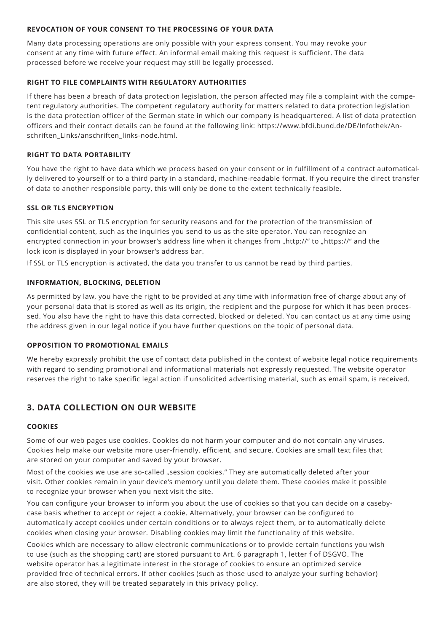## **REVOCATION OF YOUR CONSENT TO THE PROCESSING OF YOUR DATA**

Many data processing operations are only possible with your express consent. You may revoke your consent at any time with future effect. An informal email making this request is sufficient. The data processed before we receive your request may still be legally processed.

# **RIGHT TO FILE COMPLAINTS WITH REGULATORY AUTHORITIES**

If there has been a breach of data protection legislation, the person affected may file a complaint with the competent regulatory authorities. The competent regulatory authority for matters related to data protection legislation is the data protection officer of the German state in which our company is headquartered. A list of data protection officers and their contact details can be found at the following link: https://www.bfdi.bund.de/DE/Infothek/Anschriften\_Links/anschriften\_links-node.html.

# **RIGHT TO DATA PORTABILITY**

You have the right to have data which we process based on your consent or in fulfillment of a contract automatically delivered to yourself or to a third party in a standard, machine-readable format. If you require the direct transfer of data to another responsible party, this will only be done to the extent technically feasible.

# **SSL OR TLS ENCRYPTION**

This site uses SSL or TLS encryption for security reasons and for the protection of the transmission of confidential content, such as the inquiries you send to us as the site operator. You can recognize an encrypted connection in your browser's address line when it changes from "http://" to "https://" and the lock icon is displayed in your browser's address bar.

If SSL or TLS encryption is activated, the data you transfer to us cannot be read by third parties.

# **INFORMATION, BLOCKING, DELETION**

As permitted by law, you have the right to be provided at any time with information free of charge about any of your personal data that is stored as well as its origin, the recipient and the purpose for which it has been processed. You also have the right to have this data corrected, blocked or deleted. You can contact us at any time using the address given in our legal notice if you have further questions on the topic of personal data.

## **OPPOSITION TO PROMOTIONAL EMAILS**

We hereby expressly prohibit the use of contact data published in the context of website legal notice requirements with regard to sending promotional and informational materials not expressly requested. The website operator reserves the right to take specific legal action if unsolicited advertising material, such as email spam, is received.

# **3. DATA COLLECTION ON OUR WEBSITE**

## **COOKIES**

Some of our web pages use cookies. Cookies do not harm your computer and do not contain any viruses. Cookies help make our website more user-friendly, efficient, and secure. Cookies are small text files that are stored on your computer and saved by your browser.

Most of the cookies we use are so-called "session cookies." They are automatically deleted after your visit. Other cookies remain in your device's memory until you delete them. These cookies make it possible to recognize your browser when you next visit the site.

You can configure your browser to inform you about the use of cookies so that you can decide on a casebycase basis whether to accept or reject a cookie. Alternatively, your browser can be configured to automatically accept cookies under certain conditions or to always reject them, or to automatically delete cookies when closing your browser. Disabling cookies may limit the functionality of this website.

Cookies which are necessary to allow electronic communications or to provide certain functions you wish to use (such as the shopping cart) are stored pursuant to Art. 6 paragraph 1, letter f of DSGVO. The website operator has a legitimate interest in the storage of cookies to ensure an optimized service provided free of technical errors. If other cookies (such as those used to analyze your surfing behavior) are also stored, they will be treated separately in this privacy policy.